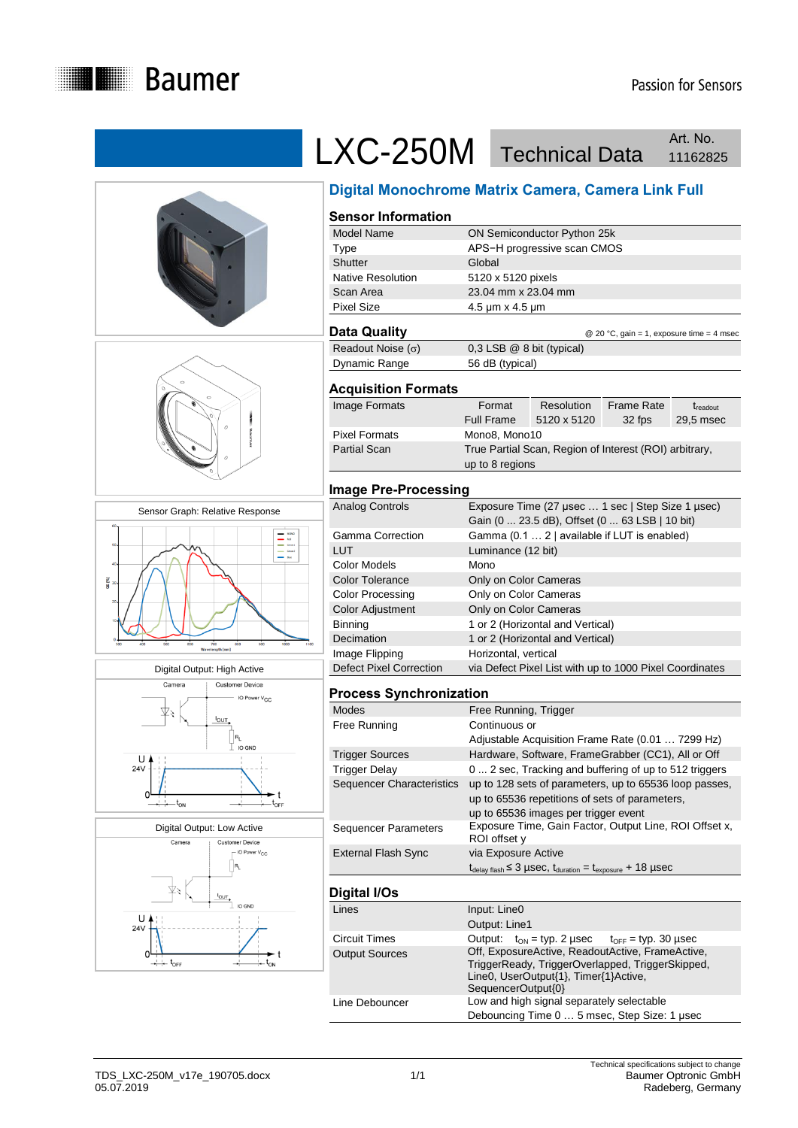

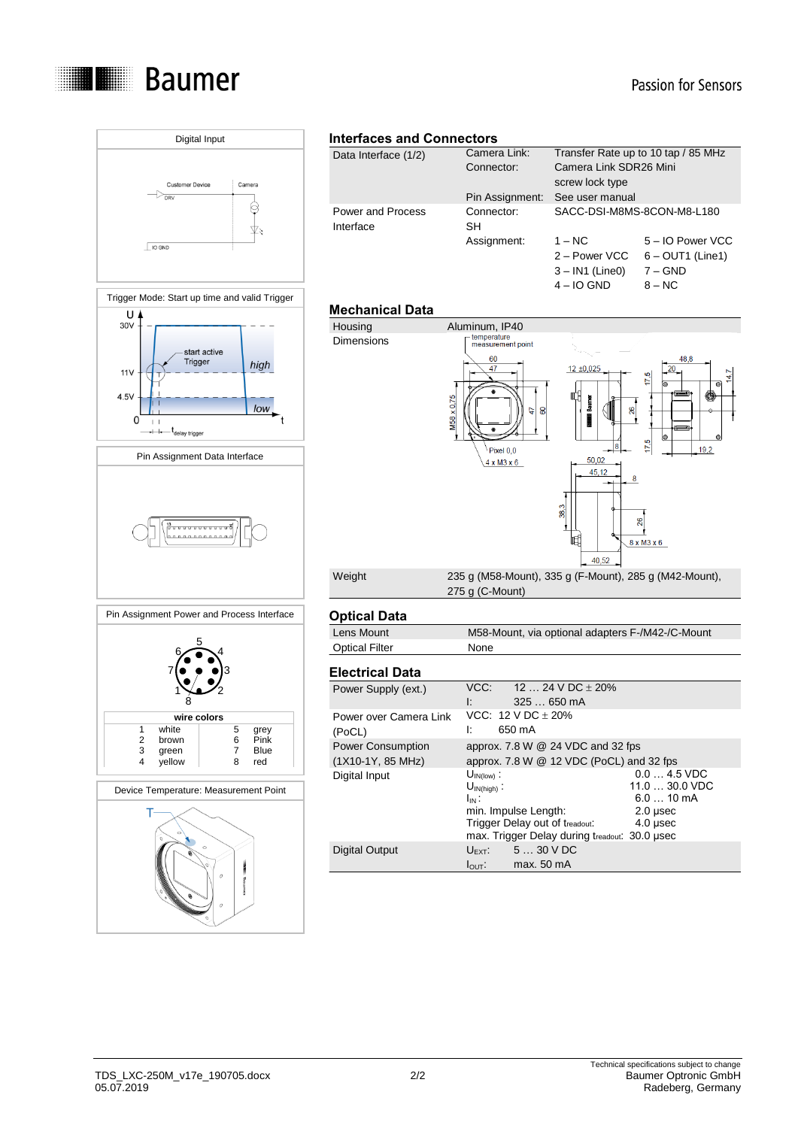